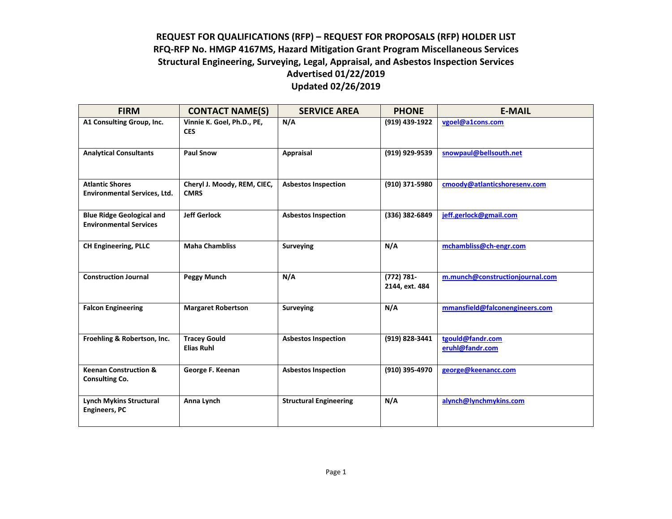## **REQUEST FOR QUALIFICATIONS (RFP) – REQUEST FOR PROPOSALS (RFP) HOLDER LIST RFQ-RFP No. HMGP 4167MS, Hazard Mitigation Grant Program Miscellaneous Services Structural Engineering, Surveying, Legal, Appraisal, and Asbestos Inspection Services Advertised 01/22/2019 Updated 02/26/2019**

| <b>FIRM</b>                                                       | <b>CONTACT NAME(S)</b>                     | <b>SERVICE AREA</b>           | <b>PHONE</b>                    | <b>E-MAIL</b>                       |
|-------------------------------------------------------------------|--------------------------------------------|-------------------------------|---------------------------------|-------------------------------------|
| A1 Consulting Group, Inc.                                         | Vinnie K. Goel, Ph.D., PE,<br><b>CES</b>   | N/A                           | (919) 439-1922                  | vgoel@a1cons.com                    |
| <b>Analytical Consultants</b>                                     | <b>Paul Snow</b>                           | Appraisal                     | (919) 929-9539                  | snowpaul@bellsouth.net              |
| <b>Atlantic Shores</b><br><b>Environmental Services, Ltd.</b>     | Cheryl J. Moody, REM, CIEC,<br><b>CMRS</b> | <b>Asbestos Inspection</b>    | (910) 371-5980                  | cmoody@atlanticshoresenv.com        |
| <b>Blue Ridge Geological and</b><br><b>Environmental Services</b> | <b>Jeff Gerlock</b>                        | <b>Asbestos Inspection</b>    | (336) 382-6849                  | jeff.gerlock@gmail.com              |
| <b>CH Engineering, PLLC</b>                                       | <b>Maha Chambliss</b>                      | <b>Surveying</b>              | N/A                             | mchambliss@ch-engr.com              |
| <b>Construction Journal</b>                                       | Peggy Munch                                | N/A                           | $(772) 781 -$<br>2144, ext. 484 | m.munch@constructionjournal.com     |
| <b>Falcon Engineering</b>                                         | <b>Margaret Robertson</b>                  | <b>Surveying</b>              | N/A                             | mmansfield@falconengineers.com      |
| Froehling & Robertson, Inc.                                       | <b>Tracey Gould</b><br><b>Elias Ruhl</b>   | <b>Asbestos Inspection</b>    | (919) 828-3441                  | tgould@fandr.com<br>eruhl@fandr.com |
| <b>Keenan Construction &amp;</b><br><b>Consulting Co.</b>         | George F. Keenan                           | <b>Asbestos Inspection</b>    | (910) 395-4970                  | george@keenancc.com                 |
| <b>Lynch Mykins Structural</b><br><b>Engineers, PC</b>            | Anna Lynch                                 | <b>Structural Engineering</b> | N/A                             | alynch@lynchmykins.com              |